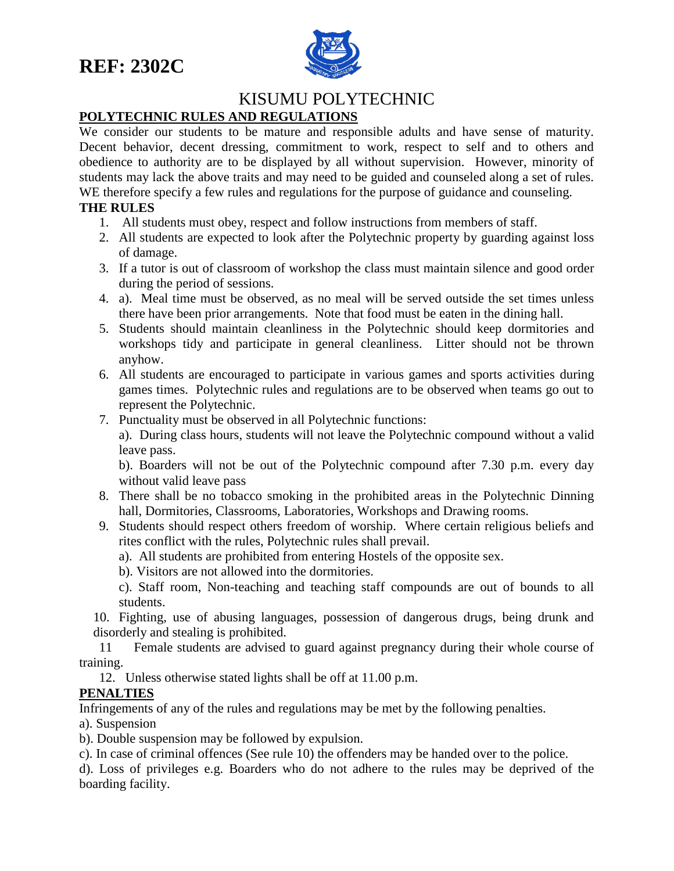

## KISUMU POLYTECHNIC

## **POLYTECHNIC RULES AND REGULATIONS**

We consider our students to be mature and responsible adults and have sense of maturity. Decent behavior, decent dressing, commitment to work, respect to self and to others and obedience to authority are to be displayed by all without supervision. However, minority of students may lack the above traits and may need to be guided and counseled along a set of rules. WE therefore specify a few rules and regulations for the purpose of guidance and counseling.

## **THE RULES**

- 1. All students must obey, respect and follow instructions from members of staff.
- 2. All students are expected to look after the Polytechnic property by guarding against loss of damage.
- 3. If a tutor is out of classroom of workshop the class must maintain silence and good order during the period of sessions.
- 4. a). Meal time must be observed, as no meal will be served outside the set times unless there have been prior arrangements. Note that food must be eaten in the dining hall.
- 5. Students should maintain cleanliness in the Polytechnic should keep dormitories and workshops tidy and participate in general cleanliness. Litter should not be thrown anyhow.
- 6. All students are encouraged to participate in various games and sports activities during games times. Polytechnic rules and regulations are to be observed when teams go out to represent the Polytechnic.
- 7. Punctuality must be observed in all Polytechnic functions:

a). During class hours, students will not leave the Polytechnic compound without a valid leave pass.

b). Boarders will not be out of the Polytechnic compound after 7.30 p.m. every day without valid leave pass

- 8. There shall be no tobacco smoking in the prohibited areas in the Polytechnic Dinning hall, Dormitories, Classrooms, Laboratories, Workshops and Drawing rooms.
- 9. Students should respect others freedom of worship. Where certain religious beliefs and rites conflict with the rules, Polytechnic rules shall prevail.
	- a). All students are prohibited from entering Hostels of the opposite sex.
	- b). Visitors are not allowed into the dormitories.

c). Staff room, Non-teaching and teaching staff compounds are out of bounds to all students.

10. Fighting, use of abusing languages, possession of dangerous drugs, being drunk and disorderly and stealing is prohibited.

 11 Female students are advised to guard against pregnancy during their whole course of training.

12. Unless otherwise stated lights shall be off at 11.00 p.m.

## **PENALTIES**

Infringements of any of the rules and regulations may be met by the following penalties.

a). Suspension

b). Double suspension may be followed by expulsion.

c). In case of criminal offences (See rule 10) the offenders may be handed over to the police.

d). Loss of privileges e.g. Boarders who do not adhere to the rules may be deprived of the boarding facility.